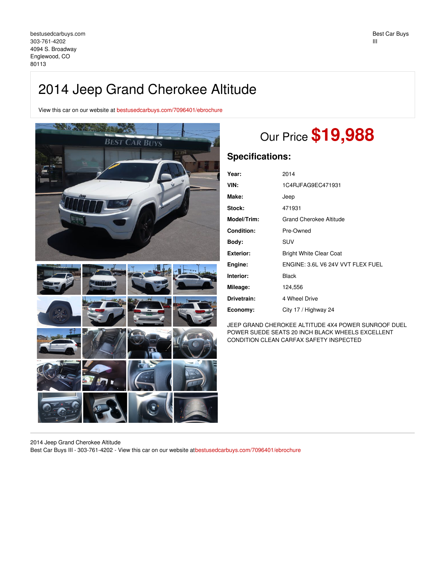## 2014 Jeep Grand Cherokee Altitude

View this car on our website at [bestusedcarbuys.com/7096401/ebrochure](https://bestusedcarbuys.com/vehicle/7096401/2014-jeep-grand-cherokee-altitude-englewood-co-80113/7096401/ebrochure)



# Our Price **\$19,988**

### **Specifications:**

| Year:       | 2014                              |
|-------------|-----------------------------------|
| VIN:        | 1C4RJFAG9EC471931                 |
| Make:       | Jeep                              |
| Stock:      | 471931                            |
| Model/Trim: | Grand Cherokee Altitude           |
| Condition:  | Pre-Owned                         |
| Body:       | <b>SUV</b>                        |
| Exterior:   | <b>Bright White Clear Coat</b>    |
| Engine:     | ENGINE: 3.6L V6 24V VVT FLEX FUEL |
| Interior:   | <b>Black</b>                      |
| Mileage:    | 124,556                           |
| Drivetrain: | 4 Wheel Drive                     |
| Economy:    | City 17 / Highway 24              |

JEEP GRAND CHEROKEE ALTITUDE 4X4 POWER SUNROOF DUEL POWER SUEDE SEATS 20 INCH BLACK WHEELS EXCELLENT CONDITION CLEAN CARFAX SAFETY INSPECTED

2014 Jeep Grand Cherokee Altitude Best Car Buys III - 303-761-4202 - View this car on our website a[tbestusedcarbuys.com/7096401/ebrochure](https://bestusedcarbuys.com/vehicle/7096401/2014-jeep-grand-cherokee-altitude-englewood-co-80113/7096401/ebrochure)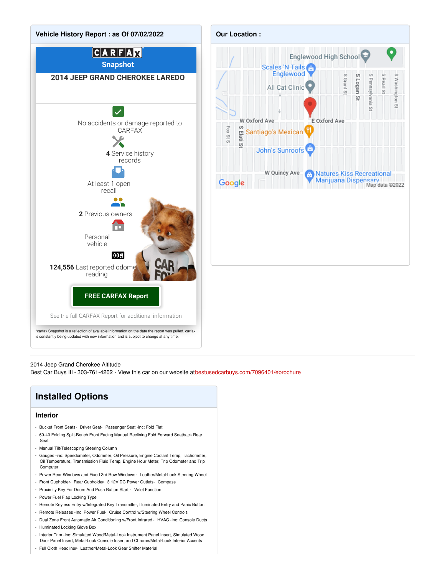



2014 Jeep Grand Cherokee Altitude

Best Car Buys III - 303-761-4202 - View this car on our website a[tbestusedcarbuys.com/7096401/ebrochure](https://bestusedcarbuys.com/vehicle/7096401/2014-jeep-grand-cherokee-altitude-englewood-co-80113/7096401/ebrochure)

## **Installed Options**

#### **Interior**

- Bucket Front Seats- Driver Seat- Passenger Seat -inc: Fold Flat
- 60-40 Folding Split-Bench Front Facing Manual Reclining Fold Forward Seatback Rear Seat
- Manual Tilt/Telescoping Steering Column
- Gauges -inc: Speedometer, Odometer, Oil Pressure, Engine Coolant Temp, Tachometer, Oil Temperature, Transmission Fluid Temp, Engine Hour Meter, Trip Odometer and Trip **Computer**
- Power Rear Windows and Fixed 3rd Row Windows- Leather/Metal-Look Steering Wheel
- Front Cupholder- Rear Cupholder- 3 12V DC Power Outlets- Compass
- Proximity Key For Doors And Push Button Start Valet Function
- Power Fuel Flap Locking Type
- Remote Keyless Entry w/Integrated Key Transmitter, Illuminated Entry and Panic Button
- Remote Releases -Inc: Power Fuel- Cruise Control w/Steering Wheel Controls
- Dual Zone Front Automatic Air Conditioning w/Front Infrared HVAC -inc: Console Ducts
- Illuminated Locking Glove Box

- Day-Night Rearview Mirror

- Interior Trim -inc: Simulated Wood/Metal-Look Instrument Panel Insert, Simulated Wood Door Panel Insert, Metal-Look Console Insert and Chrome/Metal-Look Interior Accents
- Full Cloth Headliner- Leather/Metal-Look Gear Shifter Material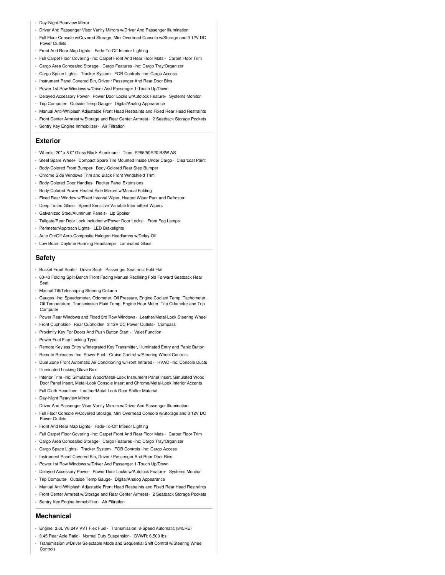- Day-Night Rearview Mirror
- Driver And Passenger Visor Vanity Mirrors w/Driver And Passenger Illumination
- Full Floor Console w/Covered Storage, Mini Overhead Console w/Storage and 3 12V DC Power Outlets
- Front And Rear Map Lights- Fade-To-Off Interior Lighting
- Full Carpet Floor Covering -inc: Carpet Front And Rear Floor Mats Carpet Floor Trim
- Cargo Area Concealed Storage- Cargo Features -inc: Cargo Tray/Organizer
- Cargo Space Lights- Tracker System- FOB Controls -inc: Cargo Access
- Instrument Panel Covered Bin, Driver / Passenger And Rear Door Bins
- Power 1st Row Windows w/Driver And Passenger 1-Touch Up/Down
- Delayed Accessory Power- Power Door Locks w/Autolock Feature- Systems Monitor
- Trip Computer- Outside Temp Gauge- Digital/Analog Appearance
- Manual Anti-Whiplash Adjustable Front Head Restraints and Fixed Rear Head Restraints
- Front Center Armrest w/Storage and Rear Center Armrest- 2 Seatback Storage Pockets
- Sentry Key Engine Immobilizer- Air Filtration

#### **Exterior**

- Wheels: 20" x 8.0" Gloss Black Aluminum Tires: P265/50R20 BSW AS
- Steel Spare Wheel- Compact Spare Tire Mounted Inside Under Cargo- Clearcoat Paint
- Body-Colored Front Bumper- Body-Colored Rear Step Bumper
- Chrome Side Windows Trim and Black Front Windshield Trim
- Body-Colored Door Handles- Rocker Panel Extensions
- Body-Colored Power Heated Side Mirrors w/Manual Folding
- Fixed Rear Window w/Fixed Interval Wiper, Heated Wiper Park and Defroster
- Deep Tinted Glass- Speed Sensitive Variable Intermittent Wipers
- Galvanized Steel/Aluminum Panels- Lip Spoiler
- Tailgate/Rear Door Lock Included w/Power Door Locks Front Fog Lamps
- Perimeter/Approach Lights- LED Brakelights
- Auto On/Off Aero-Composite Halogen Headlamps w/Delay-Off
- Low Beam Daytime Running Headlamps- Laminated Glass

#### **Safety**

- Bucket Front Seats- Driver Seat- Passenger Seat -inc: Fold Flat
- 60-40 Folding Split-Bench Front Facing Manual Reclining Fold Forward Seatback Rear Seat
- Manual Tilt/Telescoping Steering Column
- Gauges -inc: Speedometer, Odometer, Oil Pressure, Engine Coolant Temp, Tachometer, Oil Temperature, Transmission Fluid Temp, Engine Hour Meter, Trip Odometer and Trip **Computer**
- Power Rear Windows and Fixed 3rd Row Windows- Leather/Metal-Look Steering Wheel
- Front Cupholder- Rear Cupholder- 3 12V DC Power Outlets- Compass
- Proximity Key For Doors And Push Button Start Valet Function
- Power Fuel Flap Locking Type
- Remote Keyless Entry w/Integrated Key Transmitter, Illuminated Entry and Panic Button
- Remote Releases -Inc: Power Fuel- Cruise Control w/Steering Wheel Controls
- Dual Zone Front Automatic Air Conditioning w/Front Infrared HVAC -inc: Console Ducts
- Illuminated Locking Glove Box
- Interior Trim -inc: Simulated Wood/Metal-Look Instrument Panel Insert, Simulated Wood
- Door Panel Insert, Metal-Look Console Insert and Chrome/Metal-Look Interior Accents
- Full Cloth Headliner- Leather/Metal-Look Gear Shifter Material
- Day-Night Rearview Mirror
- Driver And Passenger Visor Vanity Mirrors w/Driver And Passenger Illumination
- Full Floor Console w/Covered Storage, Mini Overhead Console w/Storage and 3 12V DC Power Outlets
- Front And Rear Map Lights- Fade-To-Off Interior Lighting
- Full Carpet Floor Covering -inc: Carpet Front And Rear Floor Mats Carpet Floor Trim
- Cargo Area Concealed Storage- Cargo Features -inc: Cargo Tray/Organizer
- Cargo Space Lights- Tracker System- FOB Controls -inc: Cargo Access
- Instrument Panel Covered Bin, Driver / Passenger And Rear Door Bins
- Power 1st Row Windows w/Driver And Passenger 1-Touch Up/Down
- Delayed Accessory Power- Power Door Locks w/Autolock Feature- Systems Monitor
- Trip Computer- Outside Temp Gauge- Digital/Analog Appearance
- Manual Anti-Whiplash Adjustable Front Head Restraints and Fixed Rear Head Restraints
- Front Center Armrest w/Storage and Rear Center Armrest- 2 Seatback Storage Pockets
- Sentry Key Engine Immobilizer- Air Filtration

#### **Mechanical**

- Engine: 3.6L V6 24V VVT Flex Fuel- Transmission: 8-Speed Automatic (845RE)
- 3.45 Rear Axle Ratio- Normal Duty Suspension- GVWR: 6,500 lbs
- Transmission w/Driver Selectable Mode and Sequential Shift Control w/Steering Wheel **Controls**